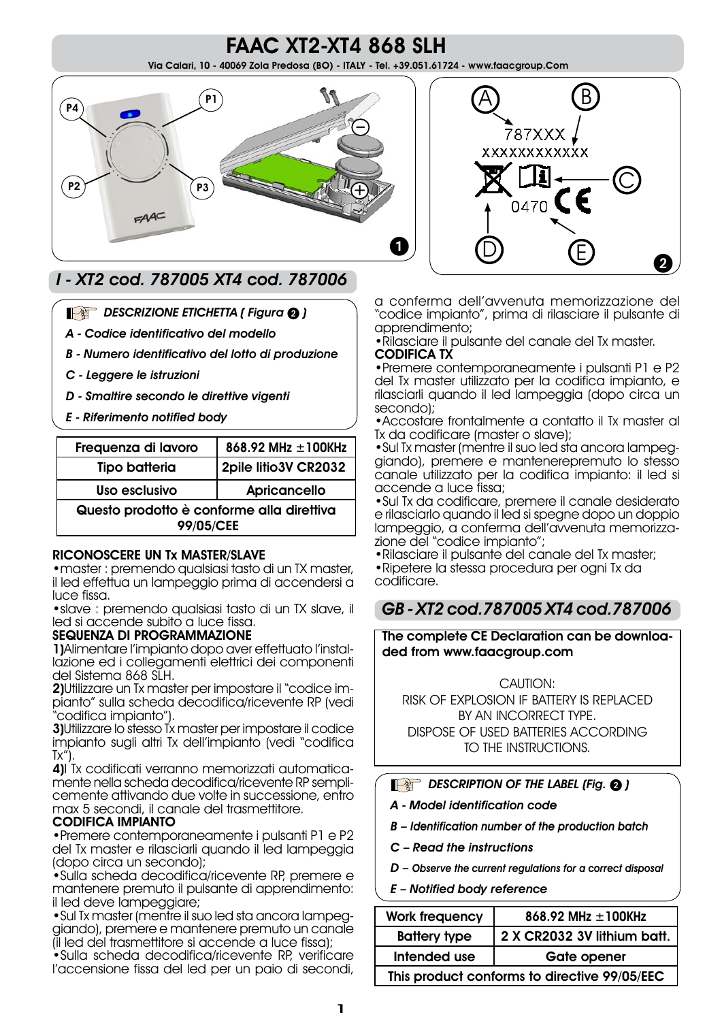## FAAC XT2-XT4 868 SLH Via Calari, 10 - 40069 Zola Predosa (BO) - ITALY - Tel. +39.051.61724 - www.faacgroup.Com





# I - XT2 cod. 787005 XT4 cod. 787006

### DESCRIZIONE ETICHETTA ( Figura 2)

- A Codice identificativo del modello
- B Numero identificativo del lotto di produzione
- C Leggere le istruzioni
- D Smaltire secondo le direttive vigenti
- E Riferimento notified body

| Frequenza di lavoro                       | 868.92 MHz $\pm$ 100KHz |  |
|-------------------------------------------|-------------------------|--|
| <b>Tipo batteria</b>                      | 2pile litio3V CR2032    |  |
| Uso esclusivo                             | Apricancello            |  |
| Questo prodotto è conforme alla direttiva |                         |  |
| 99/05/CEE                                 |                         |  |

#### RICONOSCERE UN Tx MASTER/SLAVE

•master : premendo qualsiasi tasto di un TX master, il led effettua un lampeggio prima di accendersi a luce fissa.

•slave : premendo qualsiasi tasto di un TX slave, il led si accende subito a luce fissa.

#### SEQUENZA DI PROGRAMMAZIONE

1)Alimentare l'impianto dopo aver effettuato l'installazione ed i collegamenti elettrici dei componenti del Sistema 868 SLH.

2)Utilizzare un Tx master per impostare il "codice impianto" sulla scheda decodifica/ricevente RP (vedi "codifica impianto").

3)Utilizzare lo stesso Tx master per impostare il codice impianto sugli altri Tx dell'impianto (vedi "codifica  $Tx''$ ).

4)I Tx codificati verranno memorizzati automaticamente nella scheda decodifica/ricevente RP semplicemente attivando due volte in successione, entro max 5 secondi, il canale del trasmettitore.

#### CODIFICA IMPIANTO

•Premere contemporaneamente i pulsanti P1 e P2 del Tx master e rilasciarli quando il led lampeggia (dopo circa un secondo);

•Sulla scheda decodifica/ricevente RP, premere e mantenere premuto il pulsante di apprendimento: il led deve lampeggiare;

•Sul Tx master (mentre il suo led sta ancora lampeggiando), premere e mantenere premuto un canale (il led del trasmettitore si accende a luce fissa);

•Sulla scheda decodifica/ricevente RP, verificare l'accensione fissa del led per un paio di secondi,

a conferma dell'avvenuta memorizzazione del "codice impianto", prima di rilasciare il pulsante di apprendimento;

•Rilasciare il pulsante del canale del Tx master. CODIFICA TX

•Premere contemporaneamente i pulsanti P1 e P2 del Tx master utilizzato per la codifica impianto, e rilasciarli quando il led lampeggia (dopo circa un secondo);

•Accostare frontalmente a contatto il Tx master al Tx da codificare (master o slave);

•Sul Tx master (mentre il suo led sta ancora lampeggiando), premere e mantenerepremuto lo stesso canale utilizzato per la codifica impianto: il led si accende a luce fissa;

•Sul Tx da codificare, premere il canale desiderato e rilasciarlo quando il led si spegne dopo un doppio lampeggio, a conferma dell'avvenuta memorizzazione del "codice impianto";

- •Rilasciare il pulsante del canale del Tx master;
- •Ripetere la stessa procedura per ogni Tx da codificare.

## GB - XT2 cod.787005 XT4 cod.787006

The complete CE Declaration can be downloaded from www.faacgroup.com

CAUTION: RISK OF EXPLOSION IF BATTERY IS REPLACED BY AN INCORRECT TYPE. DISPOSE OF USED BATTERIES ACCORDING TO THE INSTRUCTIONS.

## $\mathbb{R}$  DESCRIPTION OF THE LABEL (Fig.  $\mathbf{\Omega}$ )

- A Model identification code
- B Identification number of the production batch
- C Read the instructions
- D Observe the current regulations for a correct disposal
- E Notified body reference

| <b>Work frequency</b>                        | 868.92 MHz $\pm$ 100KHz     |  |
|----------------------------------------------|-----------------------------|--|
| <b>Battery type</b>                          | 2 X CR2032 3V lithium batt. |  |
| Intended use                                 | <b>Gate opener</b>          |  |
| This product conforms to directive 99/05/EEC |                             |  |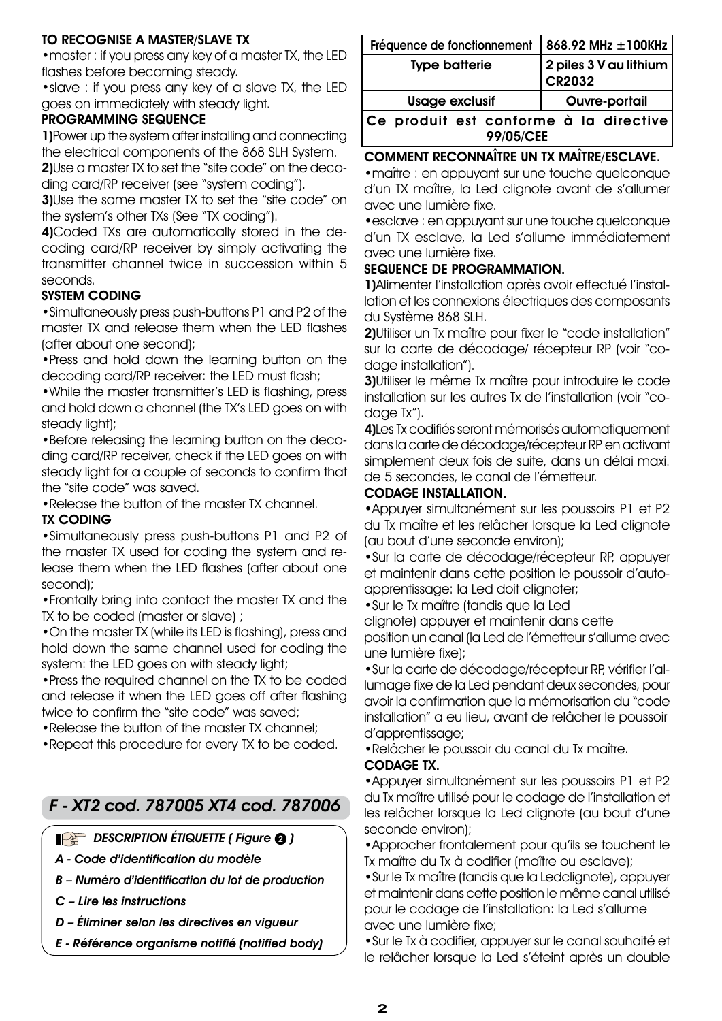## TO RECOGNISE A MASTER/SLAVE TX

•master : if you press any key of a master TX, the LED flashes before becoming steady.

•slave : if you press any key of a slave TX, the LED goes on immediately with steady light.

#### PROGRAMMING SEQUENCE

1)Power up the system after installing and connecting the electrical components of the 868 SLH System.

2)Use a master TX to set the "site code" on the decoding card/RP receiver (see "system coding").

**3)**Use the same master TX to set the "site code" on the system's other TXs (See "TX coding").

4)Coded TXs are automatically stored in the decoding card/RP receiver by simply activating the transmitter channel twice in succession within 5 seconds.

#### SYSTEM CODING

•Simultaneously press push-buttons P1 and P2 of the master TX and release them when the LED flashes (after about one second);

•Press and hold down the learning button on the decoding card/RP receiver: the LED must flash;

•While the master transmitter's LED is flashing, press and hold down a channel (the TX's LED goes on with steady light);

•Before releasing the learning button on the decoding card/RP receiver, check if the LED goes on with steady light for a couple of seconds to confirm that the "site code" was saved.

•Release the button of the master TX channel.

#### TX CODING

•Simultaneously press push-buttons P1 and P2 of the master TX used for coding the system and release them when the LED flashes (after about one second);

•Frontally bring into contact the master TX and the TX to be coded (master or slave) ;

•On the master TX (while its LED is flashing), press and hold down the same channel used for coding the system: the LED goes on with steady light;

•Press the required channel on the TX to be coded and release it when the LED goes off after flashing twice to confirm the "site code" was saved;

•Release the button of the master TX channel;

•Repeat this procedure for every TX to be coded.

## F - XT2 cod. 787005 XT4 cod. 787006

 $\mathbb{R}$  DESCRIPTION ÉTIQUETTE ( Figure  $\mathbf{\Omega}$  )

A - Code d'identification du modèle

B – Numéro d'identification du lot de production

C – Lire les instructions

D – Éliminer selon les directives en vigueur

E - Référence organisme notifié (notified body)

| Fréquence de fonctionnement                                | 868.92 MHz $\pm$ 100KHz                       |  |
|------------------------------------------------------------|-----------------------------------------------|--|
| <b>Type batterie</b>                                       | 2 piles $3$ V au lithium $ $<br><b>CR2032</b> |  |
| <b>Usage exclusif</b>                                      | <b>Ouvre-portail</b>                          |  |
| Ce produit est conforme à la directive<br><b>99/05/CEE</b> |                                               |  |

## COMMENT RECONNAÎTRE UN TX MAÎTRE/ESCLAVE.

•maître : en appuyant sur une touche quelconque d'un TX maître, la Led clignote avant de s'allumer avec une lumière fixe.

•esclave : en appuyant sur une touche quelconque d'un TX esclave, la Led s'allume immédiatement avec une lumière fixe.

#### SEQUENCE DE PROGRAMMATION.

1)Alimenter l'installation après avoir effectué l'installation et les connexions électriques des composants du Système 868 SLH.

2) Utiliser un Tx maître pour fixer le "code installation" sur la carte de décodage/ récepteur RP (voir "codage installation").

3)Utiliser le même Tx maître pour introduire le code installation sur les autres Tx de l'installation (voir "codage Tx").

4)Les Tx codifiés seront mémorisés automatiquement dans la carte de décodage/récepteur RP en activant simplement deux fois de suite, dans un délai maxi. de 5 secondes, le canal de l'émetteur.

#### CODAGE INSTALLATION.

•Appuyer simultanément sur les poussoirs P1 et P2 du Tx maître et les relâcher lorsque la Led clignote (au bout d'une seconde environ);

•Sur la carte de décodage/récepteur RP, appuyer et maintenir dans cette position le poussoir d'autoapprentissage: la Led doit clignoter;

•Sur le Tx maître (tandis que la Led

clignote) appuyer et maintenir dans cette position un canal (la Led de l'émetteur s'allume avec une lumière fixe);

•Sur la carte de décodage/récepteur RP, vérifier l'allumage fixe de la Led pendant deux secondes, pour avoir la confirmation que la mémorisation du "code installation" a eu lieu, avant de relâcher le poussoir d'apprentissage;

•Relâcher le poussoir du canal du Tx maître.

#### CODAGE TX.

•Appuyer simultanément sur les poussoirs P1 et P2 du Tx maître utilisé pour le codage de l'installation et les relâcher lorsque la Led clignote (au bout d'une seconde environ);

•Approcher frontalement pour qu'ils se touchent le Tx maître du Tx à codifier (maître ou esclave);

•Sur le Tx maître (tandis que la Ledclignote), appuyer et maintenir dans cette position le même canal utilisé pour le codage de l'installation: la Led s'allume avec une lumière fixe;

•Sur le Tx à codifier, appuyer sur le canal souhaité et le relâcher lorsque la Led s'éteint après un double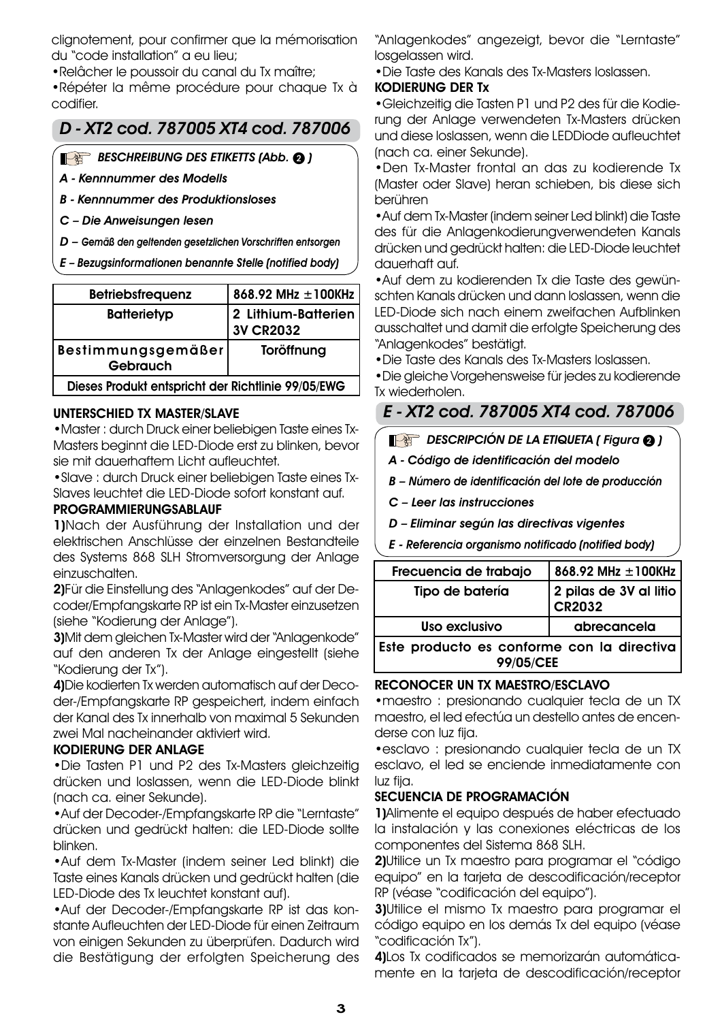clignotement, pour confirmer que la mémorisation du "code installation" a eu lieu;

•Relâcher le poussoir du canal du Tx maître;

•Répéter la même procédure pour chaque Tx à codifier.

# D - XT2 cod. 787005 XT4 cod. 787006

## BESCHREIBUNG DES ETIKETTS (Abb. <sup>2</sup>)

A - Kennnummer des Modells

B - Kennnummer des Produktionsloses

C – Die Anweisungen lesen

D – Gemäß den geltenden gesetzlichen Vorschriften entsorgen

E – Bezugsinformationen benannte Stelle (notified body)

| <b>Betriebsfrequenz</b>                            | 868.92 MHz ±100KHz                      |  |
|----------------------------------------------------|-----------------------------------------|--|
| <b>Batterietyp</b>                                 | 2 Lithium-Batterien<br><b>3V CR2032</b> |  |
| Bestimmungsgemäßer<br><b>Gebrauch</b>              | Toröffnung                              |  |
| Dieses Produkt entspricht der Richtlinie 99/05/EWG |                                         |  |

### UNTERSCHIED TX MASTER/SLAVE

•Master : durch Druck einer beliebigen Taste eines Tx-Masters beginnt die LED-Diode erst zu blinken, bevor sie mit dauerhaftem Licht aufleuchtet.

•Slave : durch Druck einer beliebigen Taste eines Tx-Slaves leuchtet die LED-Diode sofort konstant auf.

#### PROGRAMMIERUNGSABLAUF

1)Nach der Ausführung der Installation und der elektrischen Anschlüsse der einzelnen Bestandteile des Systems 868 SLH Stromversorgung der Anlage einzuschalten.

2)Für die Einstellung des "Anlagenkodes" auf der Decoder/Empfangskarte RP ist ein Tx-Master einzusetzen (siehe "Kodierung der Anlage").

3)Mit dem gleichen Tx-Master wird der "Anlagenkode" auf den anderen Tx der Anlage eingestellt (siehe "Kodierung der Tx").

4)Die kodierten Tx werden automatisch auf der Decoder-/Empfangskarte RP gespeichert, indem einfach der Kanal des Tx innerhalb von maximal 5 Sekunden zwei Mal nacheinander aktiviert wird.

#### KODIERUNG DER ANLAGE

•Die Tasten P1 und P2 des Tx-Masters gleichzeitig drücken und loslassen, wenn die LED-Diode blinkt (nach ca. einer Sekunde).

•Auf der Decoder-/Empfangskarte RP die "Lerntaste" drücken und gedrückt halten: die LED-Diode sollte blinken.

•Auf dem Tx-Master (indem seiner Led blinkt) die Taste eines Kanals drücken und gedrückt halten (die LED-Diode des Tx leuchtet konstant auf).

•Auf der Decoder-/Empfangskarte RP ist das konstante Aufleuchten der LED-Diode für einen Zeitraum von einigen Sekunden zu überprüfen. Dadurch wird die Bestätigung der erfolgten Speicherung des

"Anlagenkodes" angezeigt, bevor die "Lerntaste" losgelassen wird.

•Die Taste des Kanals des Tx-Masters loslassen.

### KODIERUNG DER Tx

•Gleichzeitig die Tasten P1 und P2 des für die Kodierung der Anlage verwendeten Tx-Masters drücken und diese loslassen, wenn die LEDDiode aufleuchtet (nach ca. einer Sekunde).

•Den Tx-Master frontal an das zu kodierende Tx (Master oder Slave) heran schieben, bis diese sich berühren

•Auf dem Tx-Master (indem seiner Led blinkt) die Taste des für die Anlagenkodierungverwendeten Kanals drücken und gedrückt halten: die LED-Diode leuchtet dauerhaft auf.

•Auf dem zu kodierenden Tx die Taste des gewünschten Kanals drücken und dann loslassen, wenn die LED-Diode sich nach einem zweifachen Aufblinken ausschaltet und damit die erfolgte Speicherung des "Anlagenkodes" bestätigt.

•Die Taste des Kanals des Tx-Masters loslassen.

•Die gleiche Vorgehensweise für jedes zu kodierende Tx wiederholen.

# E - XT2 cod. 787005 XT4 cod. 787006

## DESCRIPCIÓN DE LA ETIQUETA (Figura 2)

A - Código de identificación del modelo

B – Número de identificación del lote de producción

C – Leer las instrucciones

D – Eliminar según las directivas vigentes

E - Referencia organismo notificado (notified body)

| Frecuencia de trabajo                      | 868.92 MHz $\pm$ 100KHz          |
|--------------------------------------------|----------------------------------|
| Tipo de batería                            | 2 pilas de 3V al litio<br>CR2032 |
| Uso exclusivo                              | abrecancela                      |
| Este producto es conforme con la directiva |                                  |

99/05/CEE

## RECONOCER UN TX MAESTRO/ESCLAVO

•maestro : presionando cualquier tecla de un TX maestro, el led efectúa un destello antes de encenderse con luz fija.

•esclavo : presionando cualquier tecla de un TX esclavo, el led se enciende inmediatamente con luz fija.

## SECUENCIA DE PROGRAMACIÓN

1)Alimente el equipo después de haber efectuado la instalación y las conexiones eléctricas de los componentes del Sistema 868 SLH.

2)Utilice un Tx maestro para programar el "código equipo" en la tarjeta de descodificación/receptor RP (véase "codificación del equipo").

3)Utilice el mismo Tx maestro para programar el código equipo en los demás Tx del equipo (véase "codificación Tx").

4)Los Tx codificados se memorizarán automáticamente en la tarjeta de descodificación/receptor